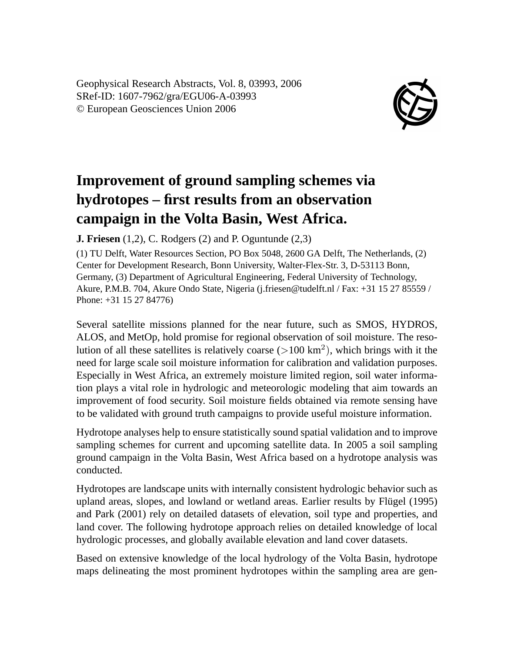Geophysical Research Abstracts, Vol. 8, 03993, 2006 SRef-ID: 1607-7962/gra/EGU06-A-03993 © European Geosciences Union 2006



## **Improvement of ground sampling schemes via hydrotopes – first results from an observation campaign in the Volta Basin, West Africa.**

**J. Friesen** (1,2), C. Rodgers (2) and P. Oguntunde (2,3)

(1) TU Delft, Water Resources Section, PO Box 5048, 2600 GA Delft, The Netherlands, (2) Center for Development Research, Bonn University, Walter-Flex-Str. 3, D-53113 Bonn, Germany, (3) Department of Agricultural Engineering, Federal University of Technology, Akure, P.M.B. 704, Akure Ondo State, Nigeria (j.friesen@tudelft.nl / Fax: +31 15 27 85559 / Phone: +31 15 27 84776)

Several satellite missions planned for the near future, such as SMOS, HYDROS, ALOS, and MetOp, hold promise for regional observation of soil moisture. The resolution of all these satellites is relatively coarse  $(>100 \text{ km}^2)$ , which brings with it the need for large scale soil moisture information for calibration and validation purposes. Especially in West Africa, an extremely moisture limited region, soil water information plays a vital role in hydrologic and meteorologic modeling that aim towards an improvement of food security. Soil moisture fields obtained via remote sensing have to be validated with ground truth campaigns to provide useful moisture information.

Hydrotope analyses help to ensure statistically sound spatial validation and to improve sampling schemes for current and upcoming satellite data. In 2005 a soil sampling ground campaign in the Volta Basin, West Africa based on a hydrotope analysis was conducted.

Hydrotopes are landscape units with internally consistent hydrologic behavior such as upland areas, slopes, and lowland or wetland areas. Earlier results by Flügel (1995) and Park (2001) rely on detailed datasets of elevation, soil type and properties, and land cover. The following hydrotope approach relies on detailed knowledge of local hydrologic processes, and globally available elevation and land cover datasets.

Based on extensive knowledge of the local hydrology of the Volta Basin, hydrotope maps delineating the most prominent hydrotopes within the sampling area are gen